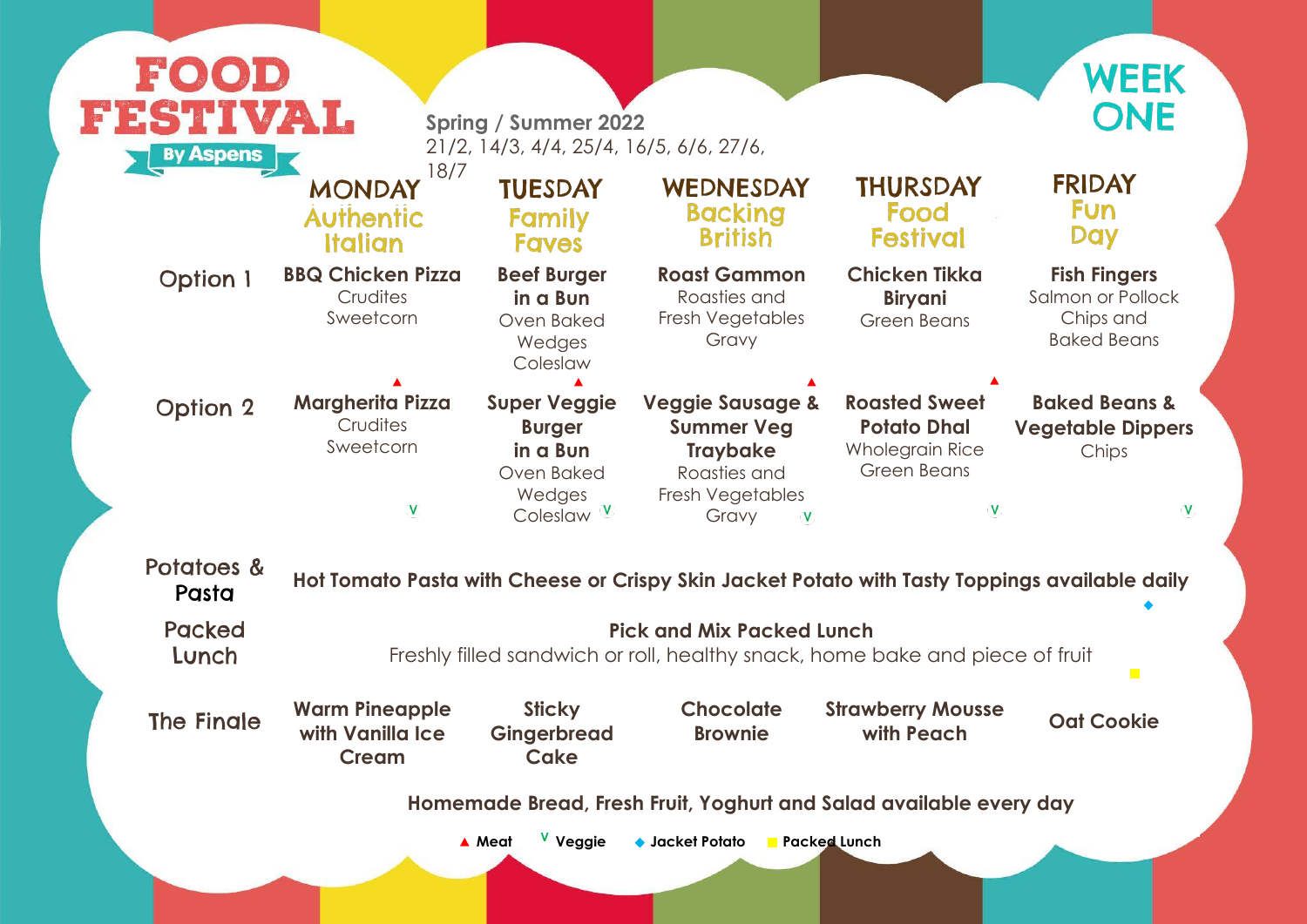#### **Fish Fingers**

Salmon or Pollock Chips and Baked Beans

#### **Baked Beans & Vegetable Dippers** Chips

 $\overline{\mathsf{V}}$ 

V

## pings available daily

 $\overline{\phantom{a}}$ 

ece of fruit

**with Peach Oat Cookie**

very day

| FOOD<br>FESTIVAL<br><b>By Aspens</b> |                                                                            | <b>Spring / Summer 2022</b><br>21/2, 14/3, 4/4, 25/4, 16/5, 6/6, 27/6,               |                                                                                                                  |                                                                                            |  |  |  |
|--------------------------------------|----------------------------------------------------------------------------|--------------------------------------------------------------------------------------|------------------------------------------------------------------------------------------------------------------|--------------------------------------------------------------------------------------------|--|--|--|
|                                      | 18/7<br><b>MONDAY</b><br><b>Authentic</b><br><b>Italian</b>                | <b>TUESDAY</b><br>Family<br><b>Faves</b>                                             | WEDNESDAY<br><b>Backing</b><br><b>British</b>                                                                    | <b>THURSDAY</b><br>Food<br><b>Festival</b>                                                 |  |  |  |
| <b>Option 1</b>                      | <b>BBQ Chicken Pizza</b><br>Crudites<br>Sweetcorn                          | <b>Beef Burger</b><br>in a Bun<br><b>Oven Baked</b><br>Wedges<br>Coleslaw            | <b>Roast Gammon</b><br>Roasties and<br>Fresh Vegetables<br>Gravy                                                 | <b>Chicken Tikka</b><br><b>Biryani</b><br><b>Green Beans</b>                               |  |  |  |
| <b>Option 2</b>                      | <b>Margherita Pizza</b><br>Crudites<br>Sweetcorn<br>V                      | <b>Super Veggie</b><br><b>Burger</b><br>in a Bun<br>Oven Baked<br>Wedges<br>Coleslaw | <b>Veggie Sausage &amp;</b><br><b>Summer Veg</b><br><b>Traybake</b><br>Roasties and<br>Fresh Vegetables<br>Gravy | <b>Roasted Sweet</b><br><b>Potato Dhal</b><br><b>Wholegrain Rice</b><br><b>Green Beans</b> |  |  |  |
| Potatoes &<br>Pasta                  | Hot Tomato Pasta with Cheese or Crispy Skin Jacket Potato with Tasty Toppi |                                                                                      |                                                                                                                  |                                                                                            |  |  |  |
| <b>Packed</b><br>Lunch               |                                                                            |                                                                                      | <b>Pick and Mix Packed Lunch</b><br>Freshly filled sandwich or roll, healthy snack, home bake and pied           |                                                                                            |  |  |  |
| The Finale                           | <b>Warm Pineapple</b><br>with Vanilla Ice<br><b>Cream</b>                  | <b>Sticky</b><br>Gingerbread<br><b>Cake</b>                                          | <b>Chocolate</b><br><b>Brownie</b>                                                                               | <b>Strawberry Mousse</b><br>with Peach                                                     |  |  |  |
|                                      | Homemade Bread, Fresh Fruit, Yoghurt and Salad available eve               |                                                                                      |                                                                                                                  |                                                                                            |  |  |  |
|                                      |                                                                            | V Veggie<br>▲ Meat                                                                   | ◆ Jacket Potato Facked Lunch                                                                                     |                                                                                            |  |  |  |



### **FRIDAY Fun** Day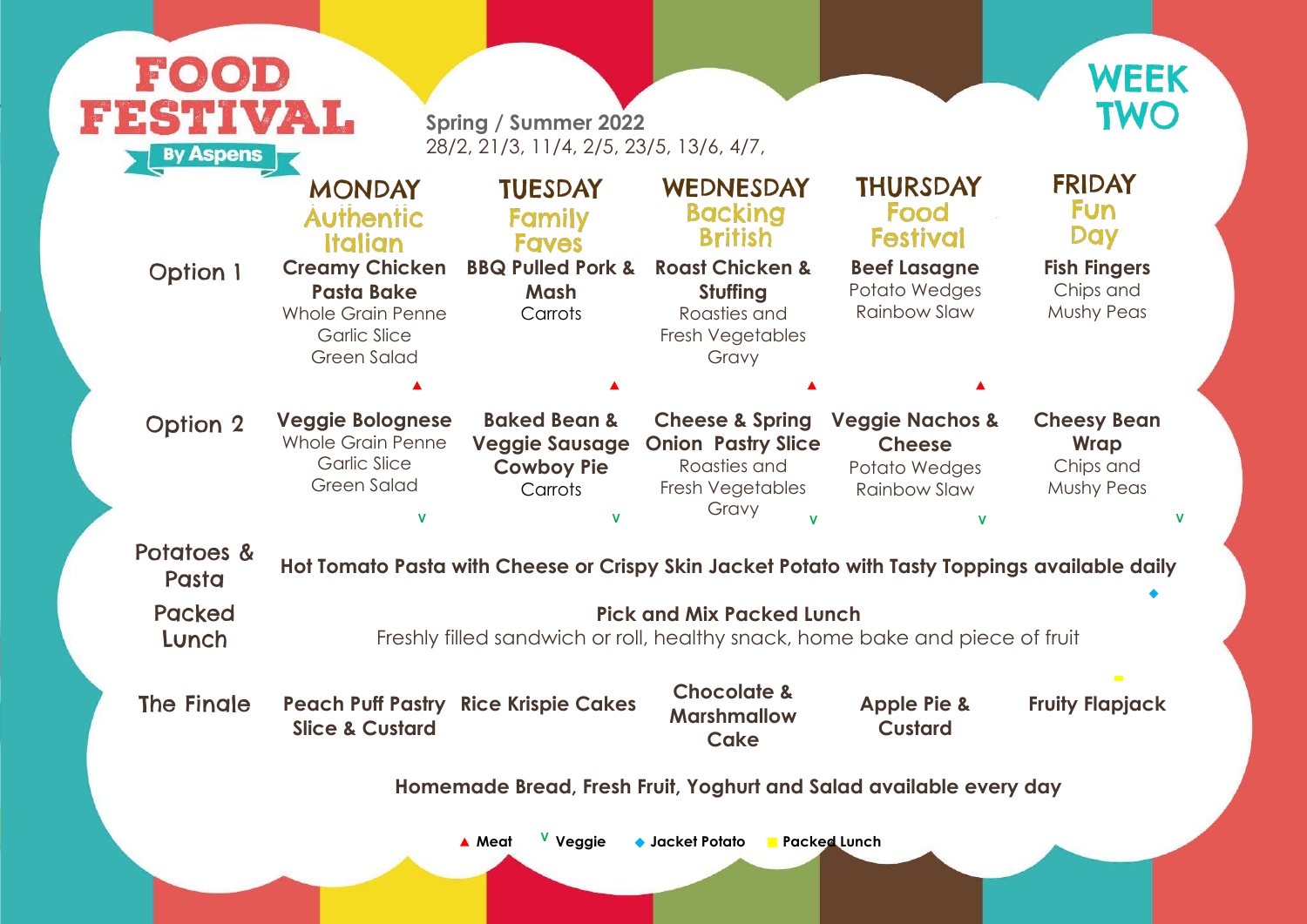

| <b>Option 1</b><br><b>Option 2</b><br>Potatoes &<br>Pasta<br><b>Packed</b><br>Lunch | <b>MONDAY</b><br><b>Authentic</b><br>Italian<br><b>Creamy Chicken</b><br><b>Pasta Bake</b><br><b>Whole Grain Penne</b><br><b>Garlic Slice</b><br><b>Green Salad</b><br><b>Veggie Bolognese</b><br><b>Whole Grain Penne</b><br><b>Garlic Slice</b> | <b>TUESDAY</b><br>Family<br><b>Faves</b><br><b>BBQ Pulled Pork &amp;</b><br><b>Mash</b><br>Carrots<br><b>Baked Bean &amp;</b><br><b>Veggie Sausage</b><br><b>Cowboy Pie</b> | WEDNESDAY<br><b>Backing</b><br><b>British</b><br><b>Roast Chicken &amp;</b><br>Stuffing<br>Roasties and<br>Fresh Vegetables<br>Gravy<br><b>Cheese &amp; Spring</b><br><b>Onion Pastry Slice</b> | <b>THURSDAY</b><br>Food<br><b>Festival</b><br><b>Beef Lasagne</b><br>Potato Wedges<br><b>Rainbow Slaw</b><br><b>Veggie Nachos &amp;</b><br><b>Cheese</b> | <b>FRIDAY</b><br><b>Fun</b><br><b>Day</b><br><b>Fish Fingers</b><br>Chips and<br><b>Mushy Peas</b><br><b>Cheesy Bean</b> |  |  |
|-------------------------------------------------------------------------------------|---------------------------------------------------------------------------------------------------------------------------------------------------------------------------------------------------------------------------------------------------|-----------------------------------------------------------------------------------------------------------------------------------------------------------------------------|-------------------------------------------------------------------------------------------------------------------------------------------------------------------------------------------------|----------------------------------------------------------------------------------------------------------------------------------------------------------|--------------------------------------------------------------------------------------------------------------------------|--|--|
|                                                                                     |                                                                                                                                                                                                                                                   |                                                                                                                                                                             |                                                                                                                                                                                                 |                                                                                                                                                          |                                                                                                                          |  |  |
|                                                                                     |                                                                                                                                                                                                                                                   |                                                                                                                                                                             |                                                                                                                                                                                                 |                                                                                                                                                          |                                                                                                                          |  |  |
|                                                                                     |                                                                                                                                                                                                                                                   |                                                                                                                                                                             |                                                                                                                                                                                                 |                                                                                                                                                          |                                                                                                                          |  |  |
|                                                                                     | <b>Green Salad</b>                                                                                                                                                                                                                                | Carrots                                                                                                                                                                     | Roasties and<br>Fresh Vegetables<br>Gravy                                                                                                                                                       | Potato Wedges<br><b>Rainbow Slaw</b>                                                                                                                     | <b>Wrap</b><br>Chips and<br><b>Mushy Peas</b>                                                                            |  |  |
|                                                                                     |                                                                                                                                                                                                                                                   | Hot Tomato Pasta with Cheese or Crispy Skin Jacket Potato with Tasty Toppings available daily                                                                               |                                                                                                                                                                                                 |                                                                                                                                                          |                                                                                                                          |  |  |
|                                                                                     | <b>Pick and Mix Packed Lunch</b><br>Freshly filled sandwich or roll, healthy snack, home bake and piece of fruit                                                                                                                                  |                                                                                                                                                                             |                                                                                                                                                                                                 |                                                                                                                                                          |                                                                                                                          |  |  |
| The Fingle                                                                          | <b>Slice &amp; Custard</b>                                                                                                                                                                                                                        | <b>Peach Puff Pastry Rice Krispie Cakes</b>                                                                                                                                 | <b>Chocolate &amp;</b><br><b>Marshmallow</b><br><b>Cake</b>                                                                                                                                     | <b>Apple Pie &amp;</b><br><b>Custard</b>                                                                                                                 | <b>The Co</b><br><b>Fruity Flapjack</b>                                                                                  |  |  |
| Homemade Bread, Fresh Fruit, Yoghurt and Salad available every day                  |                                                                                                                                                                                                                                                   |                                                                                                                                                                             |                                                                                                                                                                                                 |                                                                                                                                                          |                                                                                                                          |  |  |
|                                                                                     |                                                                                                                                                                                                                                                   |                                                                                                                                                                             |                                                                                                                                                                                                 |                                                                                                                                                          |                                                                                                                          |  |  |

#### ery day

# Pasta **Hot Tomato Pasta with Cheese or Crispy Skin Jacket Potato with Tasty Toppings available daily**

# **Fruity Flapjack**